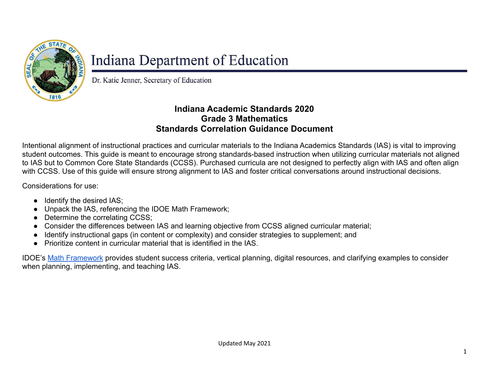

## Indiana Department of Education

Dr. Katie Jenner, Secretary of Education

## **Indiana Academic Standards 2020 Grade 3 Mathematics Standards Correlation Guidance Document**

Intentional alignment of instructional practices and curricular materials to the Indiana Academics Standards (IAS) is vital to improving student outcomes. This guide is meant to encourage strong standards-based instruction when utilizing curricular materials not aligned to IAS but to Common Core State Standards (CCSS). Purchased curricula are not designed to perfectly align with IAS and often align with CCSS. Use of this quide will ensure strong alignment to IAS and foster critical conversations around instructional decisions.

Considerations for use:

- Identify the desired IAS:
- Unpack the IAS, referencing the IDOE Math Framework;
- Determine the correlating CCSS;
- Consider the differences between IAS and learning objective from CCSS aligned curricular material;
- Identify instructional gaps (in content or complexity) and consider strategies to supplement; and
- Prioritize content in curricular material that is identified in the IAS.

IDOE's [Math Framework](https://inlearninglab.com/collections/math-frameworks) provides student success criteria, vertical planning, digital resources, and clarifying examples to consider when planning, implementing, and teaching IAS.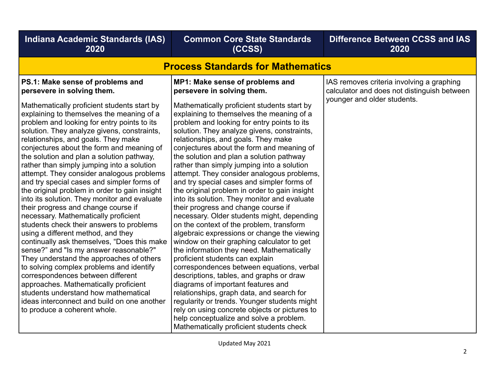| Indiana Academic Standards (IAS)                                                                                                                                                                                                                                                                                                                                                                                                                                                                                                                                                                                                                                                                                                                                                                                                                                                                                                                                                                                                                                                                                         | <b>Common Core State Standards</b>                                                                                                                                                                                                                                                                                                                                                                                                                                                                                                                                                                                                                                                                                                                                                                                                                                                                                                                                                                                                                                                                                                                                                                                                                  | <b>Difference Between CCSS and IAS</b>      |  |  |
|--------------------------------------------------------------------------------------------------------------------------------------------------------------------------------------------------------------------------------------------------------------------------------------------------------------------------------------------------------------------------------------------------------------------------------------------------------------------------------------------------------------------------------------------------------------------------------------------------------------------------------------------------------------------------------------------------------------------------------------------------------------------------------------------------------------------------------------------------------------------------------------------------------------------------------------------------------------------------------------------------------------------------------------------------------------------------------------------------------------------------|-----------------------------------------------------------------------------------------------------------------------------------------------------------------------------------------------------------------------------------------------------------------------------------------------------------------------------------------------------------------------------------------------------------------------------------------------------------------------------------------------------------------------------------------------------------------------------------------------------------------------------------------------------------------------------------------------------------------------------------------------------------------------------------------------------------------------------------------------------------------------------------------------------------------------------------------------------------------------------------------------------------------------------------------------------------------------------------------------------------------------------------------------------------------------------------------------------------------------------------------------------|---------------------------------------------|--|--|
| 2020                                                                                                                                                                                                                                                                                                                                                                                                                                                                                                                                                                                                                                                                                                                                                                                                                                                                                                                                                                                                                                                                                                                     | (CCSS)                                                                                                                                                                                                                                                                                                                                                                                                                                                                                                                                                                                                                                                                                                                                                                                                                                                                                                                                                                                                                                                                                                                                                                                                                                              | 2020                                        |  |  |
|                                                                                                                                                                                                                                                                                                                                                                                                                                                                                                                                                                                                                                                                                                                                                                                                                                                                                                                                                                                                                                                                                                                          | <b>Process Standards for Mathematics</b>                                                                                                                                                                                                                                                                                                                                                                                                                                                                                                                                                                                                                                                                                                                                                                                                                                                                                                                                                                                                                                                                                                                                                                                                            |                                             |  |  |
| PS.1: Make sense of problems and                                                                                                                                                                                                                                                                                                                                                                                                                                                                                                                                                                                                                                                                                                                                                                                                                                                                                                                                                                                                                                                                                         | MP1: Make sense of problems and                                                                                                                                                                                                                                                                                                                                                                                                                                                                                                                                                                                                                                                                                                                                                                                                                                                                                                                                                                                                                                                                                                                                                                                                                     | IAS removes criteria involving a graphing   |  |  |
| persevere in solving them.                                                                                                                                                                                                                                                                                                                                                                                                                                                                                                                                                                                                                                                                                                                                                                                                                                                                                                                                                                                                                                                                                               | persevere in solving them.                                                                                                                                                                                                                                                                                                                                                                                                                                                                                                                                                                                                                                                                                                                                                                                                                                                                                                                                                                                                                                                                                                                                                                                                                          | calculator and does not distinguish between |  |  |
| Mathematically proficient students start by<br>explaining to themselves the meaning of a<br>problem and looking for entry points to its<br>solution. They analyze givens, constraints,<br>relationships, and goals. They make<br>conjectures about the form and meaning of<br>the solution and plan a solution pathway,<br>rather than simply jumping into a solution<br>attempt. They consider analogous problems<br>and try special cases and simpler forms of<br>the original problem in order to gain insight<br>into its solution. They monitor and evaluate<br>their progress and change course if<br>necessary. Mathematically proficient<br>students check their answers to problems<br>using a different method, and they<br>continually ask themselves, "Does this make<br>sense?" and "Is my answer reasonable?"<br>They understand the approaches of others<br>to solving complex problems and identify<br>correspondences between different<br>approaches. Mathematically proficient<br>students understand how mathematical<br>ideas interconnect and build on one another<br>to produce a coherent whole. | Mathematically proficient students start by<br>explaining to themselves the meaning of a<br>problem and looking for entry points to its<br>solution. They analyze givens, constraints,<br>relationships, and goals. They make<br>conjectures about the form and meaning of<br>the solution and plan a solution pathway<br>rather than simply jumping into a solution<br>attempt. They consider analogous problems,<br>and try special cases and simpler forms of<br>the original problem in order to gain insight<br>into its solution. They monitor and evaluate<br>their progress and change course if<br>necessary. Older students might, depending<br>on the context of the problem, transform<br>algebraic expressions or change the viewing<br>window on their graphing calculator to get<br>the information they need. Mathematically<br>proficient students can explain<br>correspondences between equations, verbal<br>descriptions, tables, and graphs or draw<br>diagrams of important features and<br>relationships, graph data, and search for<br>regularity or trends. Younger students might<br>rely on using concrete objects or pictures to<br>help conceptualize and solve a problem.<br>Mathematically proficient students check | younger and older students.                 |  |  |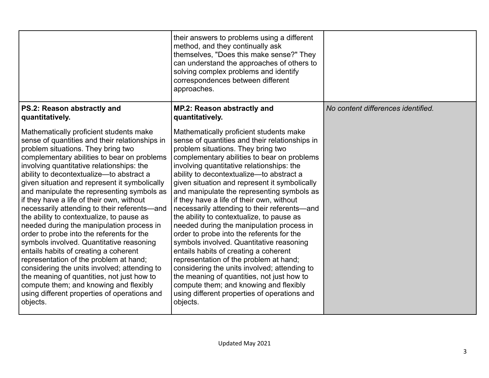|                                                                                                                                                                                                                                                                                                                                                                                                                                                                                                                                                                                                                                                                                                                                                                                                                                                                                                                                               | their answers to problems using a different<br>method, and they continually ask<br>themselves, "Does this make sense?" They<br>can understand the approaches of others to<br>solving complex problems and identify<br>correspondences between different<br>approaches.                                                                                                                                                                                                                                                                                                                                                                                                                                                                                                                                                                                                                                                                        |                                    |
|-----------------------------------------------------------------------------------------------------------------------------------------------------------------------------------------------------------------------------------------------------------------------------------------------------------------------------------------------------------------------------------------------------------------------------------------------------------------------------------------------------------------------------------------------------------------------------------------------------------------------------------------------------------------------------------------------------------------------------------------------------------------------------------------------------------------------------------------------------------------------------------------------------------------------------------------------|-----------------------------------------------------------------------------------------------------------------------------------------------------------------------------------------------------------------------------------------------------------------------------------------------------------------------------------------------------------------------------------------------------------------------------------------------------------------------------------------------------------------------------------------------------------------------------------------------------------------------------------------------------------------------------------------------------------------------------------------------------------------------------------------------------------------------------------------------------------------------------------------------------------------------------------------------|------------------------------------|
| <b>PS.2: Reason abstractly and</b><br>quantitatively.                                                                                                                                                                                                                                                                                                                                                                                                                                                                                                                                                                                                                                                                                                                                                                                                                                                                                         | <b>MP.2: Reason abstractly and</b><br>quantitatively.                                                                                                                                                                                                                                                                                                                                                                                                                                                                                                                                                                                                                                                                                                                                                                                                                                                                                         | No content differences identified. |
| Mathematically proficient students make<br>sense of quantities and their relationships in<br>problem situations. They bring two<br>complementary abilities to bear on problems<br>involving quantitative relationships: the<br>ability to decontextualize-to abstract a<br>given situation and represent it symbolically<br>and manipulate the representing symbols as<br>if they have a life of their own, without<br>necessarily attending to their referents-and<br>the ability to contextualize, to pause as<br>needed during the manipulation process in<br>order to probe into the referents for the<br>symbols involved. Quantitative reasoning<br>entails habits of creating a coherent<br>representation of the problem at hand;<br>considering the units involved; attending to<br>the meaning of quantities, not just how to<br>compute them; and knowing and flexibly<br>using different properties of operations and<br>objects. | Mathematically proficient students make<br>sense of quantities and their relationships in<br>problem situations. They bring two<br>complementary abilities to bear on problems<br>involving quantitative relationships: the<br>ability to decontextualize-to abstract a<br>given situation and represent it symbolically<br>and manipulate the representing symbols as<br>if they have a life of their own, without<br>necessarily attending to their referents-and<br>the ability to contextualize, to pause as<br>needed during the manipulation process in<br>order to probe into the referents for the<br>symbols involved. Quantitative reasoning<br>entails habits of creating a coherent<br>representation of the problem at hand;<br>considering the units involved; attending to<br>the meaning of quantities, not just how to<br>compute them; and knowing and flexibly<br>using different properties of operations and<br>objects. |                                    |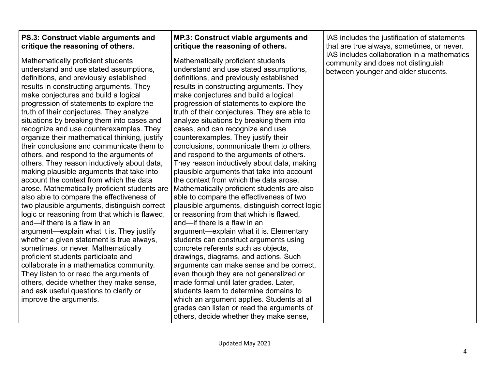| PS.3: Construct viable arguments and<br>critique the reasoning of others.                                                                                                                                                                                                                                                                                                                                                                                                                                                                                                                                                                                                                                                                                                                                                                                                                                                                                                                                                                                                                                                                                                                                                                                                                                   | <b>MP.3: Construct viable arguments and</b><br>critique the reasoning of others.                                                                                                                                                                                                                                                                                                                                                                                                                                                                                                                                                                                                                                                                                                                                                                                                                                                                                                                                                                                                                                                                                                    | IAS includes the justification of statements<br>that are true always, sometimes, or never.                               |
|-------------------------------------------------------------------------------------------------------------------------------------------------------------------------------------------------------------------------------------------------------------------------------------------------------------------------------------------------------------------------------------------------------------------------------------------------------------------------------------------------------------------------------------------------------------------------------------------------------------------------------------------------------------------------------------------------------------------------------------------------------------------------------------------------------------------------------------------------------------------------------------------------------------------------------------------------------------------------------------------------------------------------------------------------------------------------------------------------------------------------------------------------------------------------------------------------------------------------------------------------------------------------------------------------------------|-------------------------------------------------------------------------------------------------------------------------------------------------------------------------------------------------------------------------------------------------------------------------------------------------------------------------------------------------------------------------------------------------------------------------------------------------------------------------------------------------------------------------------------------------------------------------------------------------------------------------------------------------------------------------------------------------------------------------------------------------------------------------------------------------------------------------------------------------------------------------------------------------------------------------------------------------------------------------------------------------------------------------------------------------------------------------------------------------------------------------------------------------------------------------------------|--------------------------------------------------------------------------------------------------------------------------|
| Mathematically proficient students<br>understand and use stated assumptions,<br>definitions, and previously established<br>results in constructing arguments. They<br>make conjectures and build a logical<br>progression of statements to explore the<br>truth of their conjectures. They analyze<br>situations by breaking them into cases and<br>recognize and use counterexamples. They<br>organize their mathematical thinking, justify<br>their conclusions and communicate them to<br>others, and respond to the arguments of<br>others. They reason inductively about data,<br>making plausible arguments that take into<br>account the context from which the data<br>arose. Mathematically proficient students are   Mathematically proficient students are also<br>also able to compare the effectiveness of<br>two plausible arguments, distinguish correct<br>logic or reasoning from that which is flawed,<br>and—if there is a flaw in an<br>argument—explain what it is. They justify<br>whether a given statement is true always,<br>sometimes, or never. Mathematically<br>proficient students participate and<br>collaborate in a mathematics community.<br>They listen to or read the arguments of<br>others, decide whether they make sense,<br>and ask useful questions to clarify or | Mathematically proficient students<br>understand and use stated assumptions,<br>definitions, and previously established<br>results in constructing arguments. They<br>make conjectures and build a logical<br>progression of statements to explore the<br>truth of their conjectures. They are able to<br>analyze situations by breaking them into<br>cases, and can recognize and use<br>counterexamples. They justify their<br>conclusions, communicate them to others,<br>and respond to the arguments of others.<br>They reason inductively about data, making<br>plausible arguments that take into account<br>the context from which the data arose.<br>able to compare the effectiveness of two<br>plausible arguments, distinguish correct logic<br>or reasoning from that which is flawed,<br>and—if there is a flaw in an<br>argument-explain what it is. Elementary<br>students can construct arguments using<br>concrete referents such as objects,<br>drawings, diagrams, and actions. Such<br>arguments can make sense and be correct,<br>even though they are not generalized or<br>made formal until later grades. Later,<br>students learn to determine domains to | IAS includes collaboration in a mathematics<br>community and does not distinguish<br>between younger and older students. |
| improve the arguments.                                                                                                                                                                                                                                                                                                                                                                                                                                                                                                                                                                                                                                                                                                                                                                                                                                                                                                                                                                                                                                                                                                                                                                                                                                                                                      | which an argument applies. Students at all<br>grades can listen or read the arguments of<br>others, decide whether they make sense,                                                                                                                                                                                                                                                                                                                                                                                                                                                                                                                                                                                                                                                                                                                                                                                                                                                                                                                                                                                                                                                 |                                                                                                                          |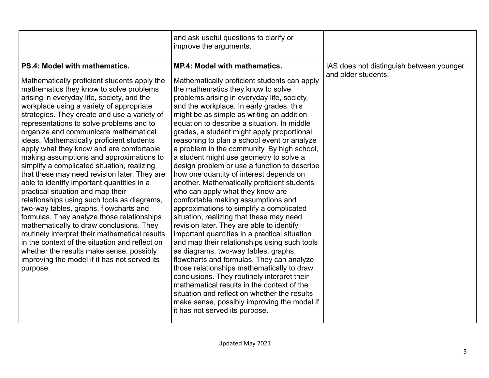| and ask useful questions to clarify or<br>improve the arguments.<br>PS.4: Model with mathematics.<br><b>MP.4: Model with mathematics.</b><br>IAS does not distinguish between younger<br>and older students.<br>Mathematically proficient students apply the<br>Mathematically proficient students can apply<br>mathematics they know to solve problems<br>the mathematics they know to solve<br>problems arising in everyday life, society,<br>arising in everyday life, society, and the<br>and the workplace. In early grades, this<br>workplace using a variety of appropriate<br>strategies. They create and use a variety of<br>might be as simple as writing an addition<br>representations to solve problems and to<br>equation to describe a situation. In middle<br>organize and communicate mathematical<br>grades, a student might apply proportional<br>ideas. Mathematically proficient students<br>reasoning to plan a school event or analyze<br>apply what they know and are comfortable<br>a problem in the community. By high school,<br>making assumptions and approximations to<br>a student might use geometry to solve a<br>design problem or use a function to describe<br>simplify a complicated situation, realizing<br>that these may need revision later. They are<br>how one quantity of interest depends on<br>able to identify important quantities in a<br>another. Mathematically proficient students<br>practical situation and map their<br>who can apply what they know are<br>relationships using such tools as diagrams,<br>comfortable making assumptions and<br>two-way tables, graphs, flowcharts and<br>approximations to simplify a complicated<br>formulas. They analyze those relationships<br>situation, realizing that these may need<br>mathematically to draw conclusions. They<br>revision later. They are able to identify<br>routinely interpret their mathematical results<br>important quantities in a practical situation<br>in the context of the situation and reflect on<br>and map their relationships using such tools<br>whether the results make sense, possibly<br>as diagrams, two-way tables, graphs,<br>improving the model if it has not served its<br>flowcharts and formulas. They can analyze<br>those relationships mathematically to draw<br>purpose.<br>conclusions. They routinely interpret their<br>mathematical results in the context of the<br>situation and reflect on whether the results<br>make sense, possibly improving the model if<br>it has not served its purpose. |  |  |
|-------------------------------------------------------------------------------------------------------------------------------------------------------------------------------------------------------------------------------------------------------------------------------------------------------------------------------------------------------------------------------------------------------------------------------------------------------------------------------------------------------------------------------------------------------------------------------------------------------------------------------------------------------------------------------------------------------------------------------------------------------------------------------------------------------------------------------------------------------------------------------------------------------------------------------------------------------------------------------------------------------------------------------------------------------------------------------------------------------------------------------------------------------------------------------------------------------------------------------------------------------------------------------------------------------------------------------------------------------------------------------------------------------------------------------------------------------------------------------------------------------------------------------------------------------------------------------------------------------------------------------------------------------------------------------------------------------------------------------------------------------------------------------------------------------------------------------------------------------------------------------------------------------------------------------------------------------------------------------------------------------------------------------------------------------------------------------------------------------------------------------------------------------------------------------------------------------------------------------------------------------------------------------------------------------------------------------------------------------------------------------------------------------------------------------------------------------------------------------------------------------------------------------------------------------------|--|--|
|                                                                                                                                                                                                                                                                                                                                                                                                                                                                                                                                                                                                                                                                                                                                                                                                                                                                                                                                                                                                                                                                                                                                                                                                                                                                                                                                                                                                                                                                                                                                                                                                                                                                                                                                                                                                                                                                                                                                                                                                                                                                                                                                                                                                                                                                                                                                                                                                                                                                                                                                                             |  |  |
|                                                                                                                                                                                                                                                                                                                                                                                                                                                                                                                                                                                                                                                                                                                                                                                                                                                                                                                                                                                                                                                                                                                                                                                                                                                                                                                                                                                                                                                                                                                                                                                                                                                                                                                                                                                                                                                                                                                                                                                                                                                                                                                                                                                                                                                                                                                                                                                                                                                                                                                                                             |  |  |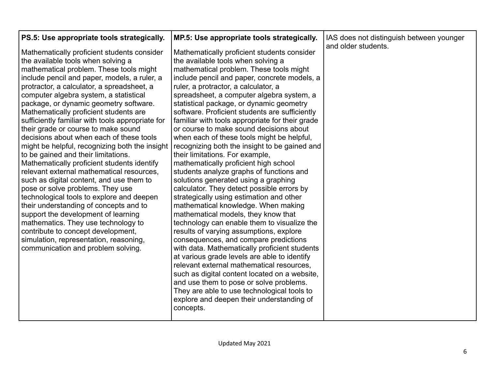| PS.5: Use appropriate tools strategically.                                                                                                                                                                                                                                                                                                                                                                                                                                                                                                                                                                                                                                                                                                                                                                                                                                                                                                                                                                                                                      | MP.5: Use appropriate tools strategically.                                                                                                                                                                                                                                                                                                                                                                                                                                                                                                                                                                                                                                                                                                                                                                                                                                                                                                                                                                                                                                                                                                                                                                                                                                                                                                                                                 | IAS does not distinguish between younger<br>and older students. |
|-----------------------------------------------------------------------------------------------------------------------------------------------------------------------------------------------------------------------------------------------------------------------------------------------------------------------------------------------------------------------------------------------------------------------------------------------------------------------------------------------------------------------------------------------------------------------------------------------------------------------------------------------------------------------------------------------------------------------------------------------------------------------------------------------------------------------------------------------------------------------------------------------------------------------------------------------------------------------------------------------------------------------------------------------------------------|--------------------------------------------------------------------------------------------------------------------------------------------------------------------------------------------------------------------------------------------------------------------------------------------------------------------------------------------------------------------------------------------------------------------------------------------------------------------------------------------------------------------------------------------------------------------------------------------------------------------------------------------------------------------------------------------------------------------------------------------------------------------------------------------------------------------------------------------------------------------------------------------------------------------------------------------------------------------------------------------------------------------------------------------------------------------------------------------------------------------------------------------------------------------------------------------------------------------------------------------------------------------------------------------------------------------------------------------------------------------------------------------|-----------------------------------------------------------------|
| Mathematically proficient students consider<br>the available tools when solving a<br>mathematical problem. These tools might<br>include pencil and paper, models, a ruler, a<br>protractor, a calculator, a spreadsheet, a<br>computer algebra system, a statistical<br>package, or dynamic geometry software.<br>Mathematically proficient students are<br>sufficiently familiar with tools appropriate for<br>their grade or course to make sound<br>decisions about when each of these tools<br>might be helpful, recognizing both the insight<br>to be gained and their limitations.<br>Mathematically proficient students identify<br>relevant external mathematical resources,<br>such as digital content, and use them to<br>pose or solve problems. They use<br>technological tools to explore and deepen<br>their understanding of concepts and to<br>support the development of learning<br>mathematics. They use technology to<br>contribute to concept development,<br>simulation, representation, reasoning,<br>communication and problem solving. | Mathematically proficient students consider<br>the available tools when solving a<br>mathematical problem. These tools might<br>include pencil and paper, concrete models, a<br>ruler, a protractor, a calculator, a<br>spreadsheet, a computer algebra system, a<br>statistical package, or dynamic geometry<br>software. Proficient students are sufficiently<br>familiar with tools appropriate for their grade<br>or course to make sound decisions about<br>when each of these tools might be helpful,<br>recognizing both the insight to be gained and<br>their limitations. For example,<br>mathematically proficient high school<br>students analyze graphs of functions and<br>solutions generated using a graphing<br>calculator. They detect possible errors by<br>strategically using estimation and other<br>mathematical knowledge. When making<br>mathematical models, they know that<br>technology can enable them to visualize the<br>results of varying assumptions, explore<br>consequences, and compare predictions<br>with data. Mathematically proficient students<br>at various grade levels are able to identify<br>relevant external mathematical resources,<br>such as digital content located on a website,<br>and use them to pose or solve problems.<br>They are able to use technological tools to<br>explore and deepen their understanding of<br>concepts. |                                                                 |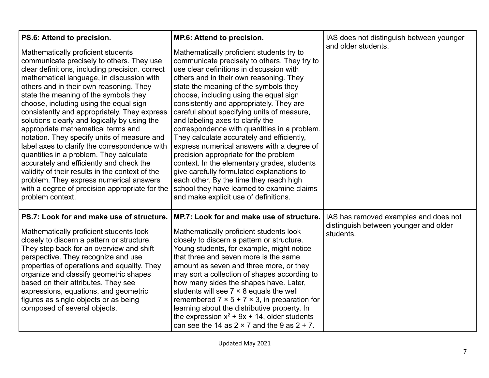| <b>PS.6: Attend to precision.</b><br>Mathematically proficient students<br>communicate precisely to others. They use<br>clear definitions, including precision. correct<br>mathematical language, in discussion with<br>others and in their own reasoning. They<br>state the meaning of the symbols they<br>choose, including using the equal sign<br>consistently and appropriately. They express<br>solutions clearly and logically by using the<br>appropriate mathematical terms and | <b>MP.6: Attend to precision.</b><br>Mathematically proficient students try to<br>communicate precisely to others. They try to<br>use clear definitions in discussion with<br>others and in their own reasoning. They<br>state the meaning of the symbols they<br>choose, including using the equal sign<br>consistently and appropriately. They are<br>careful about specifying units of measure,<br>and labeling axes to clarify the<br>correspondence with quantities in a problem.                                                                                                                                                  | IAS does not distinguish between younger<br>and older students.                             |
|------------------------------------------------------------------------------------------------------------------------------------------------------------------------------------------------------------------------------------------------------------------------------------------------------------------------------------------------------------------------------------------------------------------------------------------------------------------------------------------|-----------------------------------------------------------------------------------------------------------------------------------------------------------------------------------------------------------------------------------------------------------------------------------------------------------------------------------------------------------------------------------------------------------------------------------------------------------------------------------------------------------------------------------------------------------------------------------------------------------------------------------------|---------------------------------------------------------------------------------------------|
| notation. They specify units of measure and<br>label axes to clarify the correspondence with<br>quantities in a problem. They calculate<br>accurately and efficiently and check the<br>validity of their results in the context of the<br>problem. They express numerical answers<br>with a degree of precision appropriate for the<br>problem context.                                                                                                                                  | They calculate accurately and efficiently,<br>express numerical answers with a degree of<br>precision appropriate for the problem<br>context. In the elementary grades, students<br>give carefully formulated explanations to<br>each other. By the time they reach high<br>school they have learned to examine claims<br>and make explicit use of definitions.                                                                                                                                                                                                                                                                         |                                                                                             |
| PS.7: Look for and make use of structure.<br>Mathematically proficient students look<br>closely to discern a pattern or structure.<br>They step back for an overview and shift<br>perspective. They recognize and use<br>properties of operations and equality. They<br>organize and classify geometric shapes<br>based on their attributes. They see<br>expressions, equations, and geometric<br>figures as single objects or as being<br>composed of several objects.                  | MP.7: Look for and make use of structure.<br>Mathematically proficient students look<br>closely to discern a pattern or structure.<br>Young students, for example, might notice<br>that three and seven more is the same<br>amount as seven and three more, or they<br>may sort a collection of shapes according to<br>how many sides the shapes have. Later,<br>students will see $7 \times 8$ equals the well<br>remembered $7 \times 5 + 7 \times 3$ , in preparation for<br>learning about the distributive property. In<br>the expression $x^2$ + 9x + 14, older students<br>can see the 14 as $2 \times 7$ and the 9 as $2 + 7$ . | IAS has removed examples and does not<br>distinguish between younger and older<br>students. |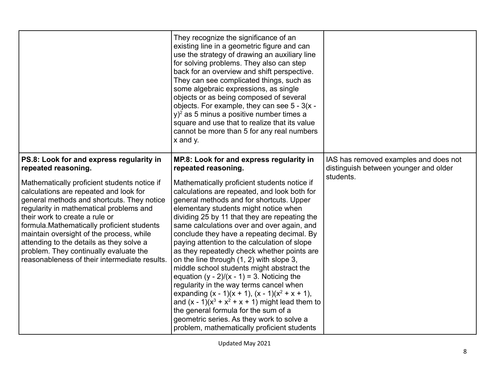|                                                                                                                                                                                                                                                                                                                                                                                                                                                     | They recognize the significance of an<br>existing line in a geometric figure and can<br>use the strategy of drawing an auxiliary line<br>for solving problems. They also can step<br>back for an overview and shift perspective.<br>They can see complicated things, such as<br>some algebraic expressions, as single<br>objects or as being composed of several<br>objects. For example, they can see 5 - 3(x -<br>$(y)^2$ as 5 minus a positive number times a<br>square and use that to realize that its value<br>cannot be more than 5 for any real numbers<br>x and y.                                                                                                                                                                                                                                                                                           |                                                                                |
|-----------------------------------------------------------------------------------------------------------------------------------------------------------------------------------------------------------------------------------------------------------------------------------------------------------------------------------------------------------------------------------------------------------------------------------------------------|-----------------------------------------------------------------------------------------------------------------------------------------------------------------------------------------------------------------------------------------------------------------------------------------------------------------------------------------------------------------------------------------------------------------------------------------------------------------------------------------------------------------------------------------------------------------------------------------------------------------------------------------------------------------------------------------------------------------------------------------------------------------------------------------------------------------------------------------------------------------------|--------------------------------------------------------------------------------|
| PS.8: Look for and express regularity in<br>repeated reasoning.                                                                                                                                                                                                                                                                                                                                                                                     | MP.8: Look for and express regularity in<br>repeated reasoning.                                                                                                                                                                                                                                                                                                                                                                                                                                                                                                                                                                                                                                                                                                                                                                                                       | IAS has removed examples and does not<br>distinguish between younger and older |
| Mathematically proficient students notice if<br>calculations are repeated and look for<br>general methods and shortcuts. They notice<br>regularity in mathematical problems and<br>their work to create a rule or<br>formula. Mathematically proficient students<br>maintain oversight of the process, while<br>attending to the details as they solve a<br>problem. They continually evaluate the<br>reasonableness of their intermediate results. | Mathematically proficient students notice if<br>calculations are repeated, and look both for<br>general methods and for shortcuts. Upper<br>elementary students might notice when<br>dividing 25 by 11 that they are repeating the<br>same calculations over and over again, and<br>conclude they have a repeating decimal. By<br>paying attention to the calculation of slope<br>as they repeatedly check whether points are<br>on the line through (1, 2) with slope 3,<br>middle school students might abstract the<br>equation $(y - 2)/(x - 1) = 3$ . Noticing the<br>regularity in the way terms cancel when<br>expanding $(x - 1)(x + 1)$ , $(x - 1)(x2 + x + 1)$ ,<br>and $(x - 1)(x^3 + x^2 + x + 1)$ might lead them to<br>the general formula for the sum of a<br>geometric series. As they work to solve a<br>problem, mathematically proficient students | students.                                                                      |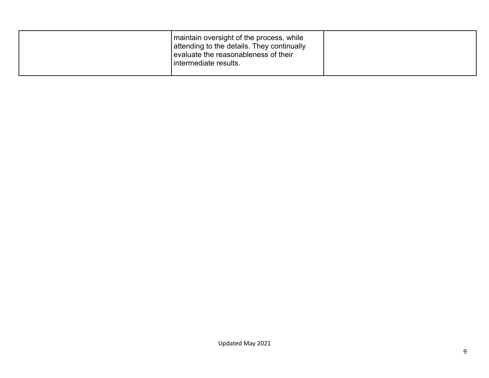| Intermediate results. |  | maintain oversight of the process, while<br>attending to the details. They continually<br>evaluate the reasonableness of their |  |
|-----------------------|--|--------------------------------------------------------------------------------------------------------------------------------|--|
|-----------------------|--|--------------------------------------------------------------------------------------------------------------------------------|--|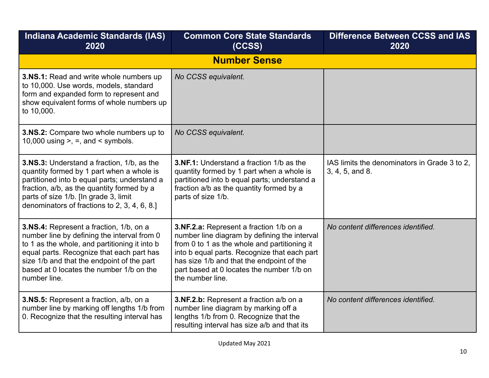| <b>Indiana Academic Standards (IAS)</b><br>2020                                                                                                                                                                                                                                                | <b>Common Core State Standards</b><br>(CCSS)                                                                                                                                                                                                                                                          | <b>Difference Between CCSS and IAS</b><br>2020                  |
|------------------------------------------------------------------------------------------------------------------------------------------------------------------------------------------------------------------------------------------------------------------------------------------------|-------------------------------------------------------------------------------------------------------------------------------------------------------------------------------------------------------------------------------------------------------------------------------------------------------|-----------------------------------------------------------------|
| <b>Number Sense</b>                                                                                                                                                                                                                                                                            |                                                                                                                                                                                                                                                                                                       |                                                                 |
| 3.NS.1: Read and write whole numbers up<br>to 10,000. Use words, models, standard<br>form and expanded form to represent and<br>show equivalent forms of whole numbers up<br>to 10,000.                                                                                                        | No CCSS equivalent.                                                                                                                                                                                                                                                                                   |                                                                 |
| 3.NS.2: Compare two whole numbers up to<br>10,000 using $>$ , $=$ , and $\le$ symbols.                                                                                                                                                                                                         | No CCSS equivalent.                                                                                                                                                                                                                                                                                   |                                                                 |
| <b>3.NS.3:</b> Understand a fraction, 1/b, as the<br>quantity formed by 1 part when a whole is<br>partitioned into b equal parts; understand a<br>fraction, a/b, as the quantity formed by a<br>parts of size 1/b. [In grade 3, limit<br>denominators of fractions to 2, 3, 4, 6, 8.]          | <b>3.NF.1:</b> Understand a fraction 1/b as the<br>quantity formed by 1 part when a whole is<br>partitioned into b equal parts; understand a<br>fraction a/b as the quantity formed by a<br>parts of size 1/b.                                                                                        | IAS limits the denominators in Grade 3 to 2.<br>3, 4, 5, and 8. |
| 3.NS.4: Represent a fraction, 1/b, on a<br>number line by defining the interval from 0<br>to 1 as the whole, and partitioning it into b<br>equal parts. Recognize that each part has<br>size 1/b and that the endpoint of the part<br>based at 0 locates the number 1/b on the<br>number line. | 3.NF.2.a: Represent a fraction 1/b on a<br>number line diagram by defining the interval<br>from 0 to 1 as the whole and partitioning it<br>into b equal parts. Recognize that each part<br>has size 1/b and that the endpoint of the<br>part based at 0 locates the number 1/b on<br>the number line. | No content differences identified.                              |
| 3.NS.5: Represent a fraction, a/b, on a<br>number line by marking off lengths 1/b from<br>0. Recognize that the resulting interval has                                                                                                                                                         | 3.NF.2.b: Represent a fraction a/b on a<br>number line diagram by marking off a<br>lengths 1/b from 0. Recognize that the<br>resulting interval has size a/b and that its                                                                                                                             | No content differences identified.                              |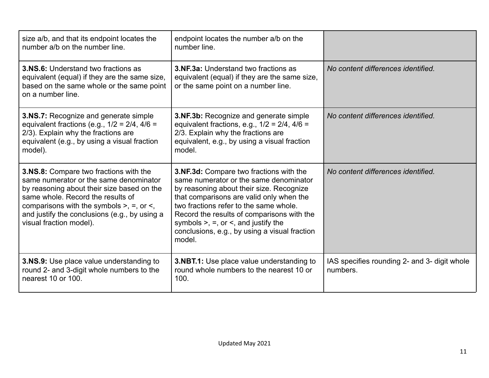| size a/b, and that its endpoint locates the<br>number a/b on the number line.                                                                                                                                                                                                                                 | endpoint locates the number a/b on the<br>number line.                                                                                                                                                                                                                                                                                                                                |                                                          |
|---------------------------------------------------------------------------------------------------------------------------------------------------------------------------------------------------------------------------------------------------------------------------------------------------------------|---------------------------------------------------------------------------------------------------------------------------------------------------------------------------------------------------------------------------------------------------------------------------------------------------------------------------------------------------------------------------------------|----------------------------------------------------------|
| <b>3.NS.6:</b> Understand two fractions as<br>equivalent (equal) if they are the same size,<br>based on the same whole or the same point<br>on a number line.                                                                                                                                                 | <b>3.NF.3a: Understand two fractions as</b><br>equivalent (equal) if they are the same size,<br>or the same point on a number line.                                                                                                                                                                                                                                                   | No content differences identified.                       |
| <b>3.NS.7:</b> Recognize and generate simple<br>equivalent fractions (e.g., $1/2 = 2/4$ , $4/6 =$<br>2/3). Explain why the fractions are<br>equivalent (e.g., by using a visual fraction<br>model).                                                                                                           | 3.NF.3b: Recognize and generate simple<br>equivalent fractions, e.g., $1/2 = 2/4$ , $4/6 =$<br>2/3. Explain why the fractions are<br>equivalent, e.g., by using a visual fraction<br>model.                                                                                                                                                                                           | No content differences identified.                       |
| <b>3.NS.8:</b> Compare two fractions with the<br>same numerator or the same denominator<br>by reasoning about their size based on the<br>same whole. Record the results of<br>comparisons with the symbols $>$ , $=$ , or $\lt$ ,<br>and justify the conclusions (e.g., by using a<br>visual fraction model). | <b>3.NF.3d:</b> Compare two fractions with the<br>same numerator or the same denominator<br>by reasoning about their size. Recognize<br>that comparisons are valid only when the<br>two fractions refer to the same whole.<br>Record the results of comparisons with the<br>symbols $>$ , $=$ , or $\lt$ , and justify the<br>conclusions, e.g., by using a visual fraction<br>model. | No content differences identified.                       |
| 3.NS.9: Use place value understanding to<br>round 2- and 3-digit whole numbers to the<br>nearest 10 or 100.                                                                                                                                                                                                   | 3.NBT.1: Use place value understanding to<br>round whole numbers to the nearest 10 or<br>100.                                                                                                                                                                                                                                                                                         | IAS specifies rounding 2- and 3- digit whole<br>numbers. |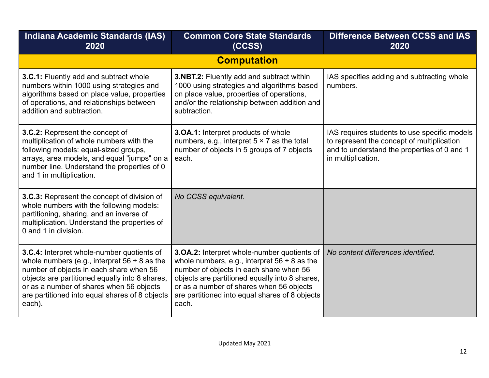| <b>Indiana Academic Standards (IAS)</b><br>2020                                                                                                                                                                                                                                                      | <b>Common Core State Standards</b><br>(CCSS)                                                                                                                                                                                                                                                         | <b>Difference Between CCSS and IAS</b><br>2020                                                                                                                  |  |
|------------------------------------------------------------------------------------------------------------------------------------------------------------------------------------------------------------------------------------------------------------------------------------------------------|------------------------------------------------------------------------------------------------------------------------------------------------------------------------------------------------------------------------------------------------------------------------------------------------------|-----------------------------------------------------------------------------------------------------------------------------------------------------------------|--|
| <b>Computation</b>                                                                                                                                                                                                                                                                                   |                                                                                                                                                                                                                                                                                                      |                                                                                                                                                                 |  |
| 3.C.1: Fluently add and subtract whole<br>numbers within 1000 using strategies and<br>algorithms based on place value, properties<br>of operations, and relationships between<br>addition and subtraction.                                                                                           | 3.NBT.2: Fluently add and subtract within<br>1000 using strategies and algorithms based<br>on place value, properties of operations,<br>and/or the relationship between addition and<br>subtraction.                                                                                                 | IAS specifies adding and subtracting whole<br>numbers.                                                                                                          |  |
| 3.C.2: Represent the concept of<br>multiplication of whole numbers with the<br>following models: equal-sized groups,<br>arrays, area models, and equal "jumps" on a<br>number line. Understand the properties of 0<br>and 1 in multiplication.                                                       | 3. OA.1: Interpret products of whole<br>numbers, e.g., interpret $5 \times 7$ as the total<br>number of objects in 5 groups of 7 objects<br>each.                                                                                                                                                    | IAS requires students to use specific models<br>to represent the concept of multiplication<br>and to understand the properties of 0 and 1<br>in multiplication. |  |
| 3.C.3: Represent the concept of division of<br>whole numbers with the following models:<br>partitioning, sharing, and an inverse of<br>multiplication. Understand the properties of<br>0 and 1 in division.                                                                                          | No CCSS equivalent.                                                                                                                                                                                                                                                                                  |                                                                                                                                                                 |  |
| 3.C.4: Interpret whole-number quotients of<br>whole numbers (e.g., interpret $56 \div 8$ as the<br>number of objects in each share when 56<br>objects are partitioned equally into 8 shares,<br>or as a number of shares when 56 objects<br>are partitioned into equal shares of 8 objects<br>each). | 3.OA.2: Interpret whole-number quotients of<br>whole numbers, e.g., interpret $56 \div 8$ as the<br>number of objects in each share when 56<br>objects are partitioned equally into 8 shares,<br>or as a number of shares when 56 objects<br>are partitioned into equal shares of 8 objects<br>each. | No content differences identified.                                                                                                                              |  |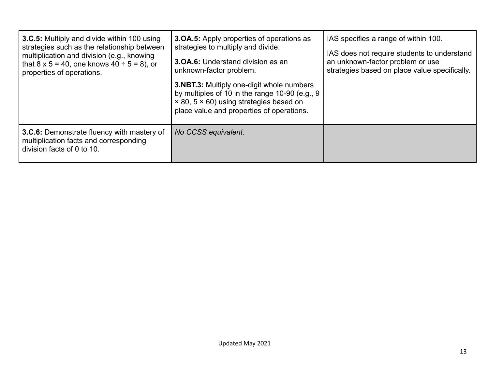| <b>3.C.5:</b> Multiply and divide within 100 using<br>strategies such as the relationship between<br>multiplication and division (e.g., knowing<br>that $8 \times 5 = 40$ , one knows $40 \div 5 = 8$ ), or<br>properties of operations. | <b>3.OA.5:</b> Apply properties of operations as<br>strategies to multiply and divide.<br><b>3.OA.6:</b> Understand division as an<br>unknown-factor problem.<br><b>3.NBT.3:</b> Multiply one-digit whole numbers<br>by multiples of 10 in the range 10-90 (e.g., 9<br>× 80, 5 × 60) using strategies based on<br>place value and properties of operations. | IAS specifies a range of within 100.<br>IAS does not require students to understand<br>an unknown-factor problem or use<br>strategies based on place value specifically. |
|------------------------------------------------------------------------------------------------------------------------------------------------------------------------------------------------------------------------------------------|-------------------------------------------------------------------------------------------------------------------------------------------------------------------------------------------------------------------------------------------------------------------------------------------------------------------------------------------------------------|--------------------------------------------------------------------------------------------------------------------------------------------------------------------------|
| <b>3.C.6:</b> Demonstrate fluency with mastery of<br>multiplication facts and corresponding<br>division facts of 0 to 10.                                                                                                                | No CCSS equivalent.                                                                                                                                                                                                                                                                                                                                         |                                                                                                                                                                          |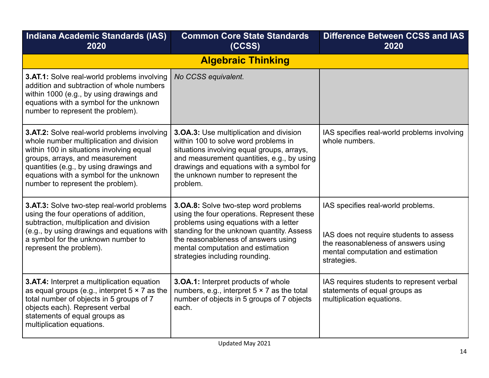| <b>Indiana Academic Standards (IAS)</b><br>2020                                                                                                                                                                                                                                                          | <b>Common Core State Standards</b><br>(CCSS)                                                                                                                                                                                                                                            | <b>Difference Between CCSS and IAS</b><br>2020                                                                                                                           |
|----------------------------------------------------------------------------------------------------------------------------------------------------------------------------------------------------------------------------------------------------------------------------------------------------------|-----------------------------------------------------------------------------------------------------------------------------------------------------------------------------------------------------------------------------------------------------------------------------------------|--------------------------------------------------------------------------------------------------------------------------------------------------------------------------|
|                                                                                                                                                                                                                                                                                                          | <b>Algebraic Thinking</b>                                                                                                                                                                                                                                                               |                                                                                                                                                                          |
| <b>3.AT.1:</b> Solve real-world problems involving<br>addition and subtraction of whole numbers<br>within 1000 (e.g., by using drawings and<br>equations with a symbol for the unknown<br>number to represent the problem).                                                                              | No CCSS equivalent.                                                                                                                                                                                                                                                                     |                                                                                                                                                                          |
| <b>3.AT.2:</b> Solve real-world problems involving<br>whole number multiplication and division<br>within 100 in situations involving equal<br>groups, arrays, and measurement<br>quantities (e.g., by using drawings and<br>equations with a symbol for the unknown<br>number to represent the problem). | 3.OA.3: Use multiplication and division<br>within 100 to solve word problems in<br>situations involving equal groups, arrays,<br>and measurement quantities, e.g., by using<br>drawings and equations with a symbol for<br>the unknown number to represent the<br>problem.              | IAS specifies real-world problems involving<br>whole numbers.                                                                                                            |
| 3.AT.3: Solve two-step real-world problems<br>using the four operations of addition,<br>subtraction, multiplication and division<br>(e.g., by using drawings and equations with<br>a symbol for the unknown number to<br>represent the problem).                                                         | 3.OA.8: Solve two-step word problems<br>using the four operations. Represent these<br>problems using equations with a letter<br>standing for the unknown quantity. Assess<br>the reasonableness of answers using<br>mental computation and estimation<br>strategies including rounding. | IAS specifies real-world problems.<br>IAS does not require students to assess<br>the reasonableness of answers using<br>mental computation and estimation<br>strategies. |
| <b>3.AT.4:</b> Interpret a multiplication equation<br>as equal groups (e.g., interpret $5 \times 7$ as the<br>total number of objects in 5 groups of 7<br>objects each). Represent verbal<br>statements of equal groups as<br>multiplication equations.                                                  | 3.OA.1: Interpret products of whole<br>numbers, e.g., interpret $5 \times 7$ as the total<br>number of objects in 5 groups of 7 objects<br>each.                                                                                                                                        | IAS requires students to represent verbal<br>statements of equal groups as<br>multiplication equations.                                                                  |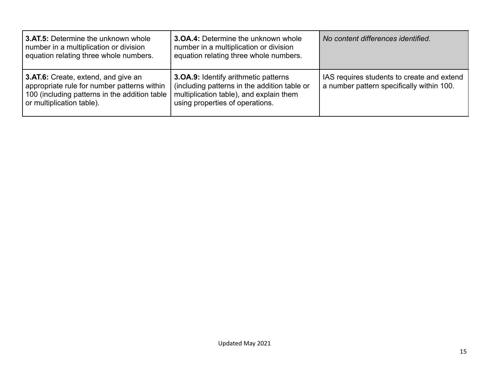| 3.AT.5: Determine the unknown whole<br>number in a multiplication or division<br>equation relating three whole numbers.                                          | <b>3.OA.4:</b> Determine the unknown whole<br>number in a multiplication or division<br>equation relating three whole numbers.                                            | No content differences identified.                                                      |
|------------------------------------------------------------------------------------------------------------------------------------------------------------------|---------------------------------------------------------------------------------------------------------------------------------------------------------------------------|-----------------------------------------------------------------------------------------|
| 3.AT.6: Create, extend, and give an<br>appropriate rule for number patterns within<br>100 (including patterns in the addition table<br>or multiplication table). | <b>3.OA.9:</b> Identify arithmetic patterns<br>(including patterns in the addition table or<br>multiplication table), and explain them<br>using properties of operations. | IAS requires students to create and extend<br>a number pattern specifically within 100. |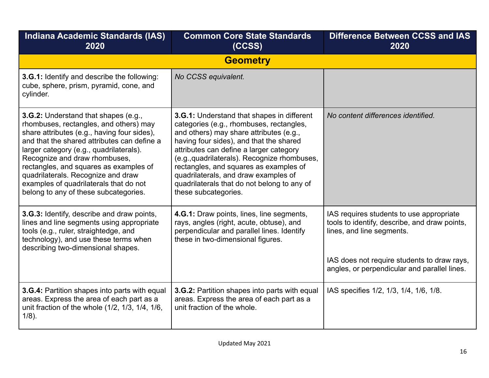| <b>Indiana Academic Standards (IAS)</b><br>2020                                                                                                                                                                                                                                                                                                                                                                             | <b>Common Core State Standards</b><br>(CCSS)                                                                                                                                                                                                                                                                                                                                                                                            | <b>Difference Between CCSS and IAS</b><br>2020                                                                                                                                                                        |
|-----------------------------------------------------------------------------------------------------------------------------------------------------------------------------------------------------------------------------------------------------------------------------------------------------------------------------------------------------------------------------------------------------------------------------|-----------------------------------------------------------------------------------------------------------------------------------------------------------------------------------------------------------------------------------------------------------------------------------------------------------------------------------------------------------------------------------------------------------------------------------------|-----------------------------------------------------------------------------------------------------------------------------------------------------------------------------------------------------------------------|
|                                                                                                                                                                                                                                                                                                                                                                                                                             | <b>Geometry</b>                                                                                                                                                                                                                                                                                                                                                                                                                         |                                                                                                                                                                                                                       |
| 3.G.1: Identify and describe the following:<br>cube, sphere, prism, pyramid, cone, and<br>cylinder.                                                                                                                                                                                                                                                                                                                         | No CCSS equivalent.                                                                                                                                                                                                                                                                                                                                                                                                                     |                                                                                                                                                                                                                       |
| 3.G.2: Understand that shapes (e.g.,<br>rhombuses, rectangles, and others) may<br>share attributes (e.g., having four sides),<br>and that the shared attributes can define a<br>larger category (e.g., quadrilaterals).<br>Recognize and draw rhombuses,<br>rectangles, and squares as examples of<br>quadrilaterals. Recognize and draw<br>examples of quadrilaterals that do not<br>belong to any of these subcategories. | <b>3.G.1:</b> Understand that shapes in different<br>categories (e.g., rhombuses, rectangles,<br>and others) may share attributes (e.g.,<br>having four sides), and that the shared<br>attributes can define a larger category<br>(e.g., quadrilaterals). Recognize rhombuses,<br>rectangles, and squares as examples of<br>quadrilaterals, and draw examples of<br>quadrilaterals that do not belong to any of<br>these subcategories. | No content differences identified.                                                                                                                                                                                    |
| 3.G.3: Identify, describe and draw points,<br>lines and line segments using appropriate<br>tools (e.g., ruler, straightedge, and<br>technology), and use these terms when<br>describing two-dimensional shapes.                                                                                                                                                                                                             | 4.G.1: Draw points, lines, line segments,<br>rays, angles (right, acute, obtuse), and<br>perpendicular and parallel lines. Identify<br>these in two-dimensional figures.                                                                                                                                                                                                                                                                | IAS requires students to use appropriate<br>tools to identify, describe, and draw points,<br>lines, and line segments.<br>IAS does not require students to draw rays,<br>angles, or perpendicular and parallel lines. |
| 3.G.4: Partition shapes into parts with equal<br>areas. Express the area of each part as a<br>unit fraction of the whole (1/2, 1/3, 1/4, 1/6,<br>$1/8$ ).                                                                                                                                                                                                                                                                   | <b>3.G.2:</b> Partition shapes into parts with equal<br>areas. Express the area of each part as a<br>unit fraction of the whole.                                                                                                                                                                                                                                                                                                        | IAS specifies 1/2, 1/3, 1/4, 1/6, 1/8.                                                                                                                                                                                |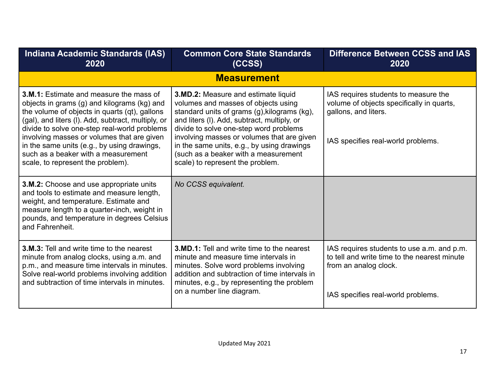| <b>Indiana Academic Standards (IAS)</b><br>2020                                                                                                                                                                                                                                                                                                                                                                               | <b>Common Core State Standards</b><br>(CCSS)                                                                                                                                                                                                                                                                                                                                                | <b>Difference Between CCSS and IAS</b><br>2020                                                                                                            |  |
|-------------------------------------------------------------------------------------------------------------------------------------------------------------------------------------------------------------------------------------------------------------------------------------------------------------------------------------------------------------------------------------------------------------------------------|---------------------------------------------------------------------------------------------------------------------------------------------------------------------------------------------------------------------------------------------------------------------------------------------------------------------------------------------------------------------------------------------|-----------------------------------------------------------------------------------------------------------------------------------------------------------|--|
| <b>Measurement</b>                                                                                                                                                                                                                                                                                                                                                                                                            |                                                                                                                                                                                                                                                                                                                                                                                             |                                                                                                                                                           |  |
| <b>3.M.1:</b> Estimate and measure the mass of<br>objects in grams (g) and kilograms (kg) and<br>the volume of objects in quarts (qt), gallons<br>(gal), and liters (I). Add, subtract, multiply, or<br>divide to solve one-step real-world problems<br>involving masses or volumes that are given<br>in the same units (e.g., by using drawings,<br>such as a beaker with a measurement<br>scale, to represent the problem). | 3.MD.2: Measure and estimate liquid<br>volumes and masses of objects using<br>standard units of grams (g), kilograms (kg),<br>and liters (I). Add, subtract, multiply, or<br>divide to solve one-step word problems<br>involving masses or volumes that are given<br>in the same units, e.g., by using drawings<br>(such as a beaker with a measurement<br>scale) to represent the problem. | IAS requires students to measure the<br>volume of objects specifically in quarts,<br>gallons, and liters.<br>IAS specifies real-world problems.           |  |
| <b>3.M.2:</b> Choose and use appropriate units<br>and tools to estimate and measure length,<br>weight, and temperature. Estimate and<br>measure length to a quarter-inch, weight in<br>pounds, and temperature in degrees Celsius<br>and Fahrenheit.                                                                                                                                                                          | No CCSS equivalent.                                                                                                                                                                                                                                                                                                                                                                         |                                                                                                                                                           |  |
| <b>3.M.3:</b> Tell and write time to the nearest<br>minute from analog clocks, using a.m. and<br>p.m., and measure time intervals in minutes.<br>Solve real-world problems involving addition<br>and subtraction of time intervals in minutes.                                                                                                                                                                                | <b>3.MD.1:</b> Tell and write time to the nearest<br>minute and measure time intervals in<br>minutes. Solve word problems involving<br>addition and subtraction of time intervals in<br>minutes, e.g., by representing the problem<br>on a number line diagram.                                                                                                                             | IAS requires students to use a.m. and p.m.<br>to tell and write time to the nearest minute<br>from an analog clock.<br>IAS specifies real-world problems. |  |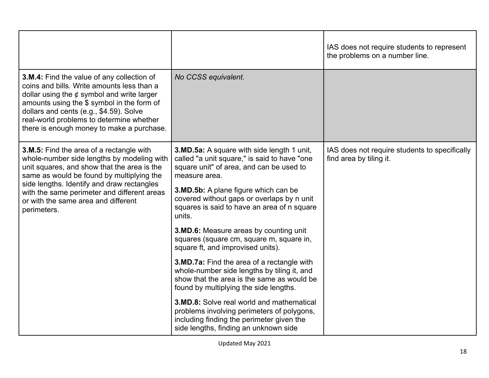|                                                                                                                                                                                                                                                                                                                                              |                                                                                                                                                                                                                                                                                                                                                  | IAS does not require students to represent<br>the problems on a number line. |
|----------------------------------------------------------------------------------------------------------------------------------------------------------------------------------------------------------------------------------------------------------------------------------------------------------------------------------------------|--------------------------------------------------------------------------------------------------------------------------------------------------------------------------------------------------------------------------------------------------------------------------------------------------------------------------------------------------|------------------------------------------------------------------------------|
| 3.M.4: Find the value of any collection of<br>coins and bills. Write amounts less than a<br>dollar using the $\phi$ symbol and write larger<br>amounts using the \$ symbol in the form of<br>dollars and cents (e.g., \$4.59). Solve<br>real-world problems to determine whether<br>there is enough money to make a purchase.                | No CCSS equivalent.                                                                                                                                                                                                                                                                                                                              |                                                                              |
| <b>3.M.5:</b> Find the area of a rectangle with<br>whole-number side lengths by modeling with<br>unit squares, and show that the area is the<br>same as would be found by multiplying the<br>side lengths. Identify and draw rectangles<br>with the same perimeter and different areas<br>or with the same area and different<br>perimeters. | 3.MD.5a: A square with side length 1 unit,<br>called "a unit square," is said to have "one<br>square unit" of area, and can be used to<br>measure area.<br>3.MD.5b: A plane figure which can be<br>covered without gaps or overlaps by n unit<br>squares is said to have an area of n square<br>units.<br>3.MD.6: Measure areas by counting unit | IAS does not require students to specifically<br>find area by tiling it.     |
|                                                                                                                                                                                                                                                                                                                                              | squares (square cm, square m, square in,<br>square ft, and improvised units).                                                                                                                                                                                                                                                                    |                                                                              |
|                                                                                                                                                                                                                                                                                                                                              | <b>3.MD.7a:</b> Find the area of a rectangle with<br>whole-number side lengths by tiling it, and<br>show that the area is the same as would be<br>found by multiplying the side lengths.                                                                                                                                                         |                                                                              |
|                                                                                                                                                                                                                                                                                                                                              | <b>3.MD.8:</b> Solve real world and mathematical<br>problems involving perimeters of polygons,<br>including finding the perimeter given the<br>side lengths, finding an unknown side                                                                                                                                                             |                                                                              |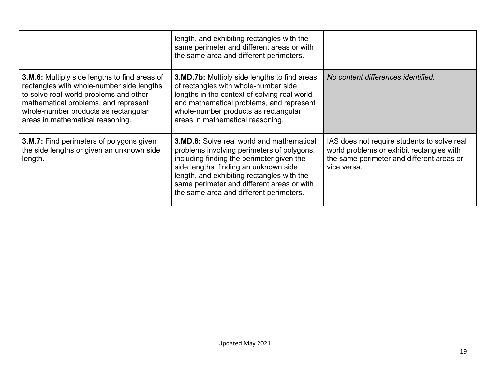|                                                                                                                                                                                                                                                                 | length, and exhibiting rectangles with the<br>same perimeter and different areas or with<br>the same area and different perimeters.                                                                                                                                                                                         |                                                                                                                                                      |
|-----------------------------------------------------------------------------------------------------------------------------------------------------------------------------------------------------------------------------------------------------------------|-----------------------------------------------------------------------------------------------------------------------------------------------------------------------------------------------------------------------------------------------------------------------------------------------------------------------------|------------------------------------------------------------------------------------------------------------------------------------------------------|
| <b>3.M.6:</b> Multiply side lengths to find areas of<br>rectangles with whole-number side lengths<br>to solve real-world problems and other<br>mathematical problems, and represent<br>whole-number products as rectangular<br>areas in mathematical reasoning. | <b>3.MD.7b:</b> Multiply side lengths to find areas<br>of rectangles with whole-number side<br>lengths in the context of solving real world<br>and mathematical problems, and represent<br>whole-number products as rectangular<br>areas in mathematical reasoning.                                                         | No content differences identified.                                                                                                                   |
| <b>3.M.7:</b> Find perimeters of polygons given<br>the side lengths or given an unknown side<br>length.                                                                                                                                                         | <b>3.MD.8:</b> Solve real world and mathematical<br>problems involving perimeters of polygons,<br>including finding the perimeter given the<br>side lengths, finding an unknown side<br>length, and exhibiting rectangles with the<br>same perimeter and different areas or with<br>the same area and different perimeters. | IAS does not require students to solve real<br>world problems or exhibit rectangles with<br>the same perimeter and different areas or<br>vice versa. |